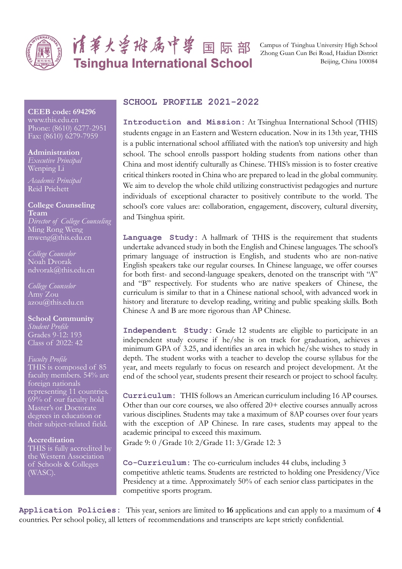

# 请事火兽将属中兽 国际部 **Tsinghua International School**

Campus of Tsinghua University High School Zhong Guan Cun Bei Road, Haidian District Beijing, China 100084

## **CEEB code: 694296** www.this.edu.cn

Phone: (8610) 6277-2951 Fax: (8610) 6279-7959

**Administration** *Executive Principal* Wenping Li

*Academic Principal* Reid Prichett

**College Counseling Team** *Director of College Counseling*  Ming Rong Weng mweng@this.edu.cn

*College Counselor* Noah Dvorak ndvorak@this.edu.cn

*College Counselor* Amy Zou azou@this.edu.cn

**School Community** *Student Profile* Grades 9-12: 193 Class of 2022: 42

# *Faculty Profile* THIS is composed of 85 faculty members. 54% are foreign nationals representing 11 countries. 69% of our faculty hold Master's or Doctorate degrees in education or their subject-related field.

**Accreditation** THIS is fully accredited by the Western Association of Schools & Colleges (WASC).

# **SCHOOL PROFILE 2021-2022**

**Introduction and Mission:** At Tsinghua International School (THIS) students engage in an Eastern and Western education. Now in its 13th year, THIS is a public international school affiliated with the nation's top university and high school. The school enrolls passport holding students from nations other than China and most identify culturally as Chinese. THIS·s mission is to foster creative critical thinkers rooted in China who are prepared to lead in the global community. We aim to develop the whole child utilizing constructivist pedagogies and nurture individuals of exceptional character to positively contribute to the world. The school's core values are: collaboration, engagement, discovery, cultural diversity, and Tsinghua spirit.

**Language Study:** A hallmark of THIS is the requirement that students undertake advanced study in both the English and Chinese languages. The school·s primary language of instruction is English, and students who are non-native English speakers take our regular courses. In Chinese language, we offer courses for both first- and second-language speakers, denoted on the transcript with "A" and "B" respectively. For students who are native speakers of Chinese, the curriculum is similar to that in a Chinese national school, with advanced work in history and literature to develop reading, writing and public speaking skills. Both Chinese A and B are more rigorous than AP Chinese.

**Independent Study:** Grade 12 students are eligible to participate in an independent study course if he/she is on track for graduation, achieves a minimum GPA of 3.25, and identifies an area in which he/she wishes to study in depth. The student works with a teacher to develop the course syllabus for the year, and meets regularly to focus on research and project development. At the end of the school year, students present their research or project to school faculty.

**Curriculum:** THIS follows an American curriculum including 16 AP courses. Other than our core courses, we also offered 20+ elective courses annually across various disciplines. Students may take a maximum of 8AP courses over four years with the exception of AP Chinese. In rare cases, students may appeal to the academic principal to exceed this maximum.

Grade 9: 0 /Grade 10: 2/Grade 11: 3/Grade 12: 3

**Co-Curriculum:** The co-curriculum includes 44 clubs, including 3 competitive athletic teams. Students are restricted to holding one Presidency/Vice Presidency at a time. Approximately 50% of each senior class participates in the competitive sports program.

**Application Policies:** This year, seniors are limited to **16** applications and can apply to a maximum of **4** countries. Per school policy, all letters of recommendations and transcripts are kept strictly confidential.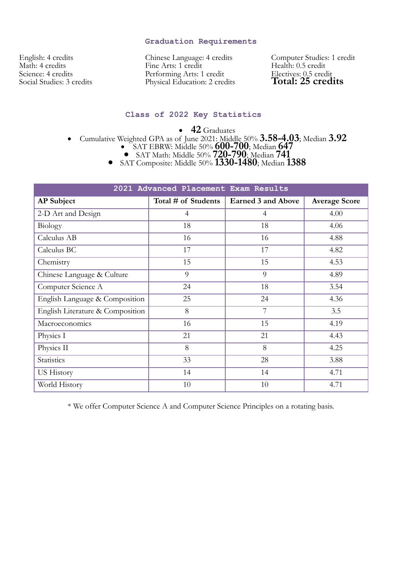# **Graduation Requirements**

English: 4 credits Math: 4 credits Science: 4 credits Social Studies: 3 credits Chinese Language: 4 credits Fine Arts: 1 credit Performing Arts: 1 credit Physical Education: 2 credits Computer Studies: 1 credit Health: 0.5 credit Electives: 0.5 credit **Total: 25 credits** 

# **Class of 2022 Key Statistics**

• 42 Graduates

- Cumulative Weighted GPA as of June 2021: Middle 50% **3.58-4.03**; Median **3.92**<br>• SAT EBRW: Middle 50% **600-700**; Median **647** 
	-
	- x SAT Math: Middle 50% **720-790**; Median **741**

x SAT Composite: Middle 50% **1330-1480**; Median **1388**

| 2021 Advanced Placement Exam Results |                     |                           |                      |
|--------------------------------------|---------------------|---------------------------|----------------------|
| <b>AP</b> Subject                    | Total # of Students | <b>Earned 3 and Above</b> | <b>Average Score</b> |
| 2-D Art and Design                   | 4                   | $\overline{4}$            | 4.00                 |
| Biology                              | 18                  | 18                        | 4.06                 |
| Calculus AB                          | 16                  | 16                        | 4.88                 |
| Calculus BC                          | 17                  | 17                        | 4.82                 |
| Chemistry                            | 15                  | 15                        | 4.53                 |
| Chinese Language & Culture           | 9                   | 9                         | 4.89                 |
| Computer Science A                   | 24                  | 18                        | 3.54                 |
| English Language & Composition       | 25                  | 24                        | 4.36                 |
| English Literature & Composition     | 8                   | $\overline{7}$            | 3.5                  |
| Macroeconomics                       | 16                  | 15                        | 4.19                 |
| Physics I                            | 21                  | 21                        | 4.43                 |
| Physics II                           | 8                   | 8                         | 4.25                 |
| Statistics                           | 33                  | 28                        | 3.88                 |
| <b>US History</b>                    | 14                  | 14                        | 4.71                 |
| World History                        | 10                  | 10                        | 4.71                 |

\* We offer Computer Science A and Computer Science Principles on a rotating basis.